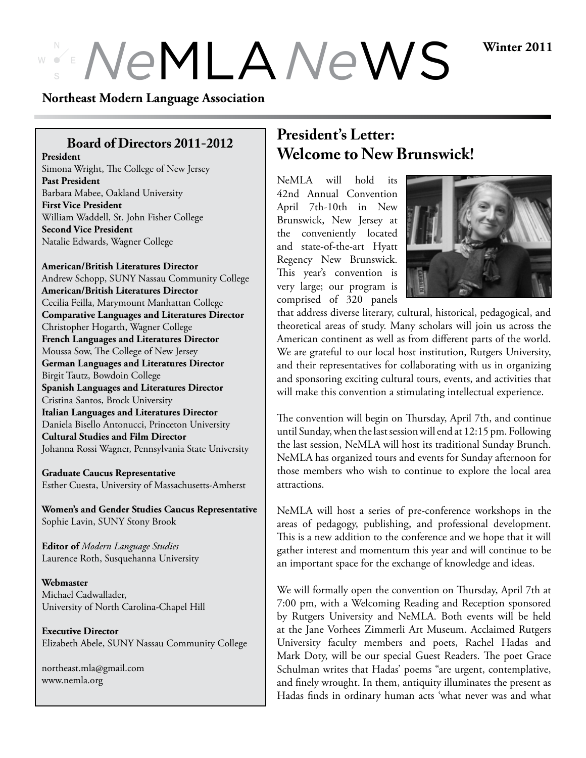# $N$ eMLA *NeWS Winter 2011*

#### **Northeast Modern Language Association**

# **Board of Directors 2011-2012**

**President** Simona Wright, The College of New Jersey **Past President** Barbara Mabee, Oakland University **First Vice President** William Waddell, St. John Fisher College **Second Vice President** Natalie Edwards, Wagner College

#### **American/British Literatures Director**

Andrew Schopp, SUNY Nassau Community College **American/British Literatures Director** Cecilia Feilla, Marymount Manhattan College **Comparative Languages and Literatures Director** Christopher Hogarth, Wagner College **French Languages and Literatures Director** Moussa Sow, The College of New Jersey **German Languages and Literatures Director** Birgit Tautz, Bowdoin College **Spanish Languages and Literatures Director** Cristina Santos, Brock University **Italian Languages and Literatures Director** Daniela Bisello Antonucci, Princeton University **Cultural Studies and Film Director** Johanna Rossi Wagner, Pennsylvania State University

**Graduate Caucus Representative** Esther Cuesta, University of Massachusetts-Amherst

**Women's and Gender Studies Caucus Representative** Sophie Lavin, SUNY Stony Brook

**Editor of** *Modern Language Studies* Laurence Roth, Susquehanna University

**Webmaster** Michael Cadwallader, University of North Carolina-Chapel Hill

**Executive Director** Elizabeth Abele, SUNY Nassau Community College

northeast.mla@gmail.com www.nemla.org

# **President's Letter: Welcome to New Brunswick!**

NeMLA will hold its 42nd Annual Convention April 7th-10th in New Brunswick, New Jersey at the conveniently located and state-of-the-art Hyatt Regency New Brunswick. This year's convention is very large; our program is comprised of 320 panels



that address diverse literary, cultural, historical, pedagogical, and theoretical areas of study. Many scholars will join us across the American continent as well as from different parts of the world. We are grateful to our local host institution, Rutgers University, and their representatives for collaborating with us in organizing and sponsoring exciting cultural tours, events, and activities that will make this convention a stimulating intellectual experience.

The convention will begin on Thursday, April 7th, and continue until Sunday, when the last session will end at 12:15 pm. Following the last session, NeMLA will host its traditional Sunday Brunch. NeMLA has organized tours and events for Sunday afternoon for those members who wish to continue to explore the local area attractions.

NeMLA will host a series of pre-conference workshops in the areas of pedagogy, publishing, and professional development. This is a new addition to the conference and we hope that it will gather interest and momentum this year and will continue to be an important space for the exchange of knowledge and ideas.

We will formally open the convention on Thursday, April 7th at 7:00 pm, with a Welcoming Reading and Reception sponsored by Rutgers University and NeMLA. Both events will be held at the Jane Vorhees Zimmerli Art Museum. Acclaimed Rutgers University faculty members and poets, Rachel Hadas and Mark Doty, will be our special Guest Readers. The poet Grace Schulman writes that Hadas' poems "are urgent, contemplative, and finely wrought. In them, antiquity illuminates the present as Hadas finds in ordinary human acts 'what never was and what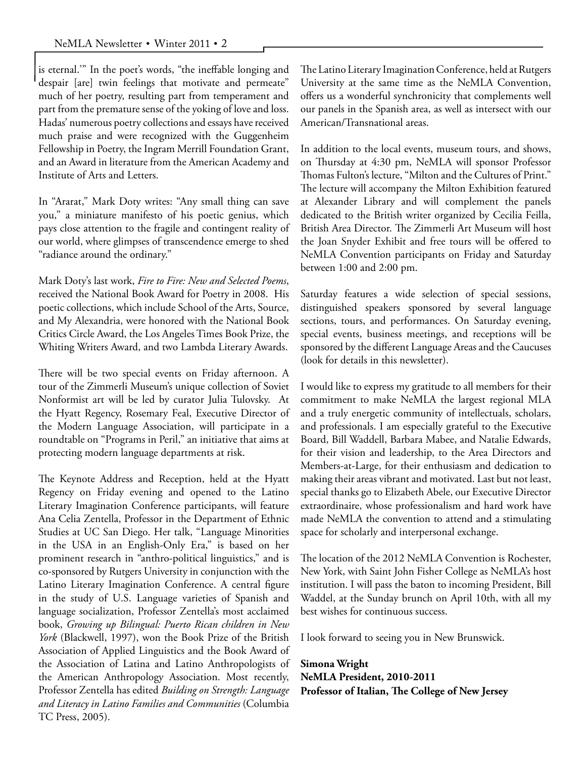is eternal.'" In the poet's words, "the ineffable longing and despair [are] twin feelings that motivate and permeate" much of her poetry, resulting part from temperament and part from the premature sense of the yoking of love and loss. Hadas' numerous poetry collections and essays have received much praise and were recognized with the Guggenheim Fellowship in Poetry, the Ingram Merrill Foundation Grant, and an Award in literature from the American Academy and Institute of Arts and Letters.

In "Ararat," Mark Doty writes: "Any small thing can save you," a miniature manifesto of his poetic genius, which pays close attention to the fragile and contingent reality of our world, where glimpses of transcendence emerge to shed "radiance around the ordinary."

Mark Doty's last work, *Fire to Fire: New and Selected Poems*, received the National Book Award for Poetry in 2008. His poetic collections, which include School of the Arts, Source, and My Alexandria, were honored with the National Book Critics Circle Award, the Los Angeles Times Book Prize, the Whiting Writers Award, and two Lambda Literary Awards.

There will be two special events on Friday afternoon. A tour of the Zimmerli Museum's unique collection of Soviet Nonformist art will be led by curator Julia Tulovsky. At the Hyatt Regency, Rosemary Feal, Executive Director of the Modern Language Association, will participate in a roundtable on "Programs in Peril," an initiative that aims at protecting modern language departments at risk.

The Keynote Address and Reception, held at the Hyatt Regency on Friday evening and opened to the Latino Literary Imagination Conference participants, will feature Ana Celia Zentella, Professor in the Department of Ethnic Studies at UC San Diego. Her talk, "Language Minorities in the USA in an English-Only Era," is based on her prominent research in "anthro-political linguistics," and is co-sponsored by Rutgers University in conjunction with the Latino Literary Imagination Conference. A central figure in the study of U.S. Language varieties of Spanish and language socialization, Professor Zentella's most acclaimed book, *Growing up Bilingual: Puerto Rican children in New York* (Blackwell, 1997), won the Book Prize of the British Association of Applied Linguistics and the Book Award of the Association of Latina and Latino Anthropologists of the American Anthropology Association. Most recently, Professor Zentella has edited *Building on Strength: Language and Literacy in Latino Families and Communities* (Columbia TC Press, 2005).

The Latino Literary Imagination Conference, held at Rutgers University at the same time as the NeMLA Convention, offers us a wonderful synchronicity that complements well our panels in the Spanish area, as well as intersect with our American/Transnational areas.

In addition to the local events, museum tours, and shows, on Thursday at 4:30 pm, NeMLA will sponsor Professor Thomas Fulton's lecture, "Milton and the Cultures of Print." The lecture will accompany the Milton Exhibition featured at Alexander Library and will complement the panels dedicated to the British writer organized by Cecilia Feilla, British Area Director. The Zimmerli Art Museum will host the Joan Snyder Exhibit and free tours will be offered to NeMLA Convention participants on Friday and Saturday between 1:00 and 2:00 pm.

Saturday features a wide selection of special sessions, distinguished speakers sponsored by several language sections, tours, and performances. On Saturday evening, special events, business meetings, and receptions will be sponsored by the different Language Areas and the Caucuses (look for details in this newsletter).

I would like to express my gratitude to all members for their commitment to make NeMLA the largest regional MLA and a truly energetic community of intellectuals, scholars, and professionals. I am especially grateful to the Executive Board, Bill Waddell, Barbara Mabee, and Natalie Edwards, for their vision and leadership, to the Area Directors and Members-at-Large, for their enthusiasm and dedication to making their areas vibrant and motivated. Last but not least, special thanks go to Elizabeth Abele, our Executive Director extraordinaire, whose professionalism and hard work have made NeMLA the convention to attend and a stimulating space for scholarly and interpersonal exchange.

The location of the 2012 NeMLA Convention is Rochester, New York, with Saint John Fisher College as NeMLA's host institution. I will pass the baton to incoming President, Bill Waddel, at the Sunday brunch on April 10th, with all my best wishes for continuous success.

I look forward to seeing you in New Brunswick.

**Simona Wright NeMLA President, 2010-2011 Professor of Italian, The College of New Jersey**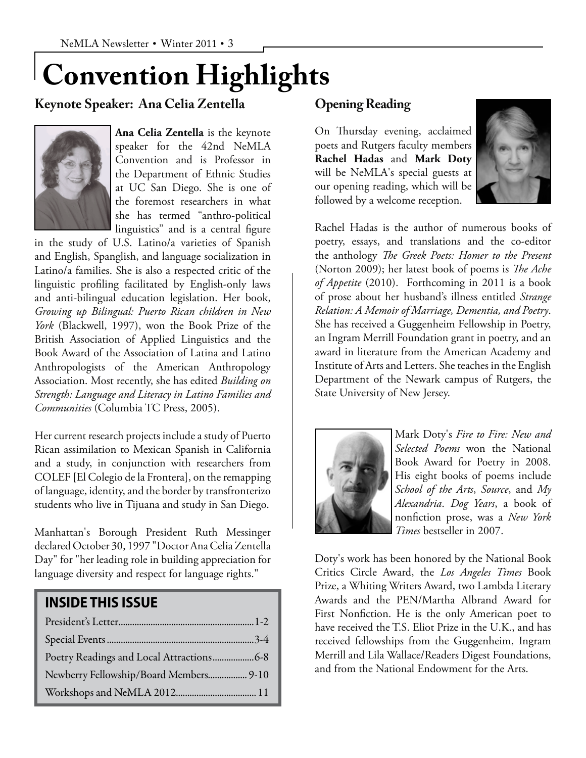# **Convention Highlights**

# **Keynote Speaker: Ana Celia Zentella**



**Ana Celia Zentella** is the keynote speaker for the 42nd NeMLA Convention and is Professor in the Department of Ethnic Studies at UC San Diego. She is one of the foremost researchers in what she has termed "anthro-political linguistics" and is a central figure

in the study of U.S. Latino/a varieties of Spanish and English, Spanglish, and language socialization in Latino/a families. She is also a respected critic of the linguistic profiling facilitated by English-only laws and anti-bilingual education legislation. Her book, *Growing up Bilingual: Puerto Rican children in New York* (Blackwell, 1997), won the Book Prize of the British Association of Applied Linguistics and the Book Award of the Association of Latina and Latino Anthropologists of the American Anthropology Association. Most recently, she has edited *Building on Strength: Language and Literacy in Latino Families and Communities* (Columbia TC Press, 2005).

Her current research projects include a study of Puerto Rican assimilation to Mexican Spanish in California and a study, in conjunction with researchers from COLEF [El Colegio de la Frontera], on the remapping of language, identity, and the border by transfronterizo students who live in Tijuana and study in San Diego.

Manhattan's Borough President Ruth Messinger declared October 30, 1997 "Doctor Ana Celia Zentella Day" for "her leading role in building appreciation for language diversity and respect for language rights."

# **INSIDE THIS ISSUE**

| Newberry Fellowship/Board Members 9-10 |  |
|----------------------------------------|--|
|                                        |  |

# **Opening Reading**

On Thursday evening, acclaimed poets and Rutgers faculty members **Rachel Hadas** and **Mark Doty** will be NeMLA's special guests at our opening reading, which will be followed by a welcome reception.



Rachel Hadas is the author of numerous books of poetry, essays, and translations and the co-editor the anthology *The Greek Poets: Homer to the Present* (Norton 2009); her latest book of poems is *The Ache of Appetite* (2010). Forthcoming in 2011 is a book of prose about her husband's illness entitled *Strange Relation: A Memoir of Marriage, Dementia, and Poetry*. She has received a Guggenheim Fellowship in Poetry, an Ingram Merrill Foundation grant in poetry, and an award in literature from the American Academy and Institute of Arts and Letters. She teaches in the English Department of the Newark campus of Rutgers, the State University of New Jersey.



Mark Doty's *Fire to Fire: New and Selected Poems* won the National Book Award for Poetry in 2008. His eight books of poems include *School of the Arts*, *Source*, and *My Alexandria*. *Dog Years*, a book of nonfiction prose, was a *New York Times* bestseller in 2007.

Doty's work has been honored by the National Book Critics Circle Award, the *Los Angeles Times* Book Prize, a Whiting Writers Award, two Lambda Literary Awards and the PEN/Martha Albrand Award for First Nonfiction. He is the only American poet to have received the T.S. Eliot Prize in the U.K., and has received fellowships from the Guggenheim, Ingram Merrill and Lila Wallace/Readers Digest Foundations, and from the National Endowment for the Arts.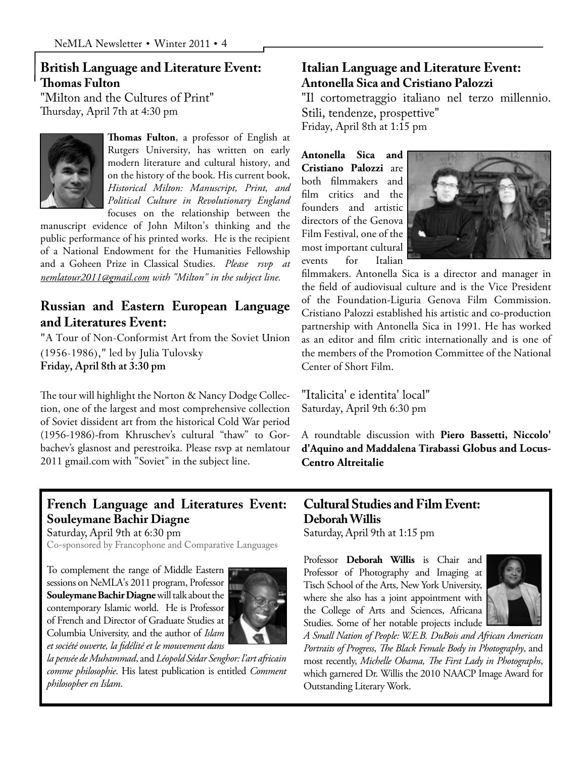# **British Language and Literature Event: Thomas Fulton**

"Milton and the Cultures of Print" Thursday, April 7th at 4:30 pm



**Thomas Fulton**, a professor of English at Rutgers University, has written on early modern literature and cultural history, and on the history of the book. His current book, *Historical Milton: Manuscript, Print, and Political Culture in Revolutionary England* focuses on the relationship between the

manuscript evidence of John Milton's thinking and the public performance of his printed works. He is the recipient of a National Endowment for the Humanities Fellowship and a Goheen Prize in Classical Studies. *Please rsvp at nemlatour2011@gmail.com with "Milton" in the subject line.*

# **Russian and Eastern European Language and Literatures Event:**

"A Tour of Non-Conformist Art from the Soviet Union (1956-1986)," led by Julia Tulovsky **Friday, April 8th at 3:30 pm**

The tour will highlight the Norton & Nancy Dodge Collection, one of the largest and most comprehensive collection of Soviet dissident art from the historical Cold War period (1956-1986) -from Khruschev's cultural "thaw" to Gorbachev's glasnost and perestroika. Please rsvp at nemlatour 2011 gmail.com with "Soviet" in the subject line.

# **Italian Language and Literature Event: Antonella Sica and Cristiano Palozzi**

"Il cortometraggio italiano nel terzo millennio. Stili, tendenze, prospettive" Friday, April 8th at 1:15 pm

**Antonella Sica and Cristiano Palozzi** are both filmmakers and film critics and the founders and artistic directors of the Genova Film Festival, one of the most important cultural events for Italian



filmmakers. Antonella Sica is a director and manager in the field of audiovisual culture and is the Vice President of the Foundation-Liguria Genova Film Commission. Cristiano Palozzi established his artistic and co-production partnership with Antonella Sica in 1991. He has worked as an editor and film critic internationally and is one of the members of the Promotion Committee of the National Center of Short Film.

"Italicita' e identita' local" Saturday, April 9th 6:30 pm

A roundtable discussion with **Piero Bassetti, Niccolo' d'Aquino and Maddalena Tirabassi Globus and Locus-Centro Altreitalie**

# **French Language and Literatures Event: Souleymane Bachir Diagne**

Saturday, April 9th at 6:30 pm

Co-sponsored by Francophone and Comparative Languages

To complement the range of Middle Eastern sessions on NeMLA's 2011 program, Professor **Souleymane Bachir Diagne** will talk about the contemporary Islamic world. He is Professor of French and Director of Graduate Studies at Columbia University, and the author of *Islam et société ouverte, la fidélité et le mouvement dans* 



*la pensée de Muhammad*, and *Léopold Sédar Senghor: l'art africain comme philosophie*. His latest publication is entitled *Comment philosopher en Islam*.

# **Cultural Studies and Film Event: Deborah Willis**

Saturday, April 9th at 1:15 pm

Professor **Deborah Willis** is Chair and Professor of Photography and Imaging at Tisch School of the Arts, New York University, where she also has a joint appointment with the College of Arts and Sciences, Africana Studies. Some of her notable projects include



*A Small Nation of People: W.E.B. DuBois and African American Portraits of Progress*, *The Black Female Body in Photography*, and most recently, *Michelle Obama, The First Lady in Photographs*, which garnered Dr. Willis the 2010 NAACP Image Award for Outstanding Literary Work.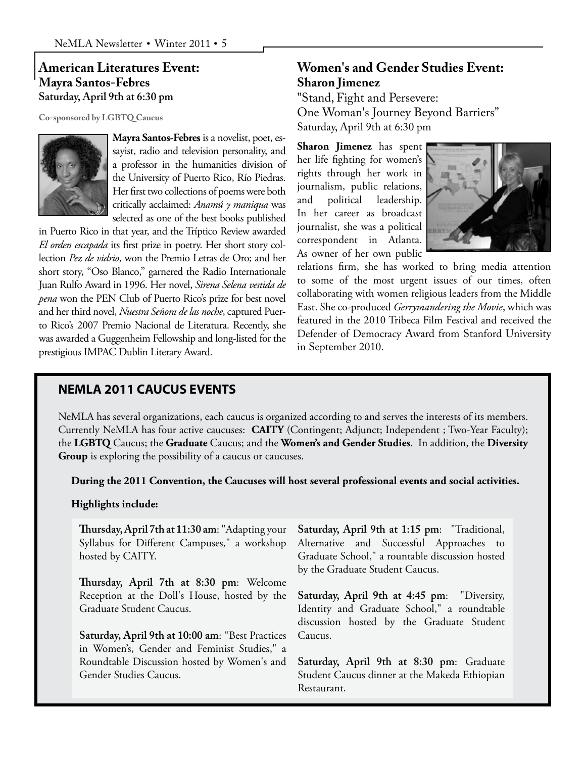#### **American Literatures Event: Mayra Santos-Febres Saturday, April 9th at 6:30 pm**

**Co-sponsored by LGBTQ Caucus**



**Mayra Santos-Febres** is a novelist, poet, essayist, radio and television personality, and a professor in the humanities division of the University of Puerto Rico, Río Piedras. Her first two collections of poems were both critically acclaimed: *Anamú y maniqua* was selected as one of the best books published

in Puerto Rico in that year, and the Tríptico Review awarded *El orden escapada* its first prize in poetry. Her short story collection *Pez de vidrio*, won the Premio Letras de Oro; and her short story, "Oso Blanco," garnered the Radio Internationale Juan Rulfo Award in 1996. Her novel, *Sirena Selena vestida de pena* won the PEN Club of Puerto Rico's prize for best novel and her third novel, *Nuestra Señora de las noche*, captured Puerto Rico's 2007 Premio Nacional de Literatura. Recently, she was awarded a Guggenheim Fellowship and long-listed for the prestigious IMPAC Dublin Literary Award.

## **Women's and Gender Studies Event: Sharon Jimenez**

"Stand, Fight and Persevere: One Woman's Journey Beyond Barriers" Saturday, April 9th at 6:30 pm

**Sharon Jimenez** has spent her life fighting for women's rights through her work in journalism, public relations, and political leadership. In her career as broadcast journalist, she was a political correspondent in Atlanta. As owner of her own public



relations firm, she has worked to bring media attention to some of the most urgent issues of our times, often collaborating with women religious leaders from the Middle East. She co-produced *Gerrymandering the Movie*, which was featured in the 2010 Tribeca Film Festival and received the Defender of Democracy Award from Stanford University in September 2010.

#### **NEMLA 2011 CAUCUS EVENTS**

NeMLA has several organizations, each caucus is organized according to and serves the interests of its members. Currently NeMLA has four active caucuses: **CAITY** (Contingent; Adjunct; Independent ; Two-Year Faculty); the **LGBTQ** Caucus; the **Graduate** Caucus; and the **Women's and Gender Studies**. In addition, the **Diversity Group** is exploring the possibility of a caucus or caucuses.

**During the 2011 Convention, the Caucuses will host several professional events and social activities.** 

#### **Highlights include:**

**Thursday, April 7th at 11:30 am**: "Adapting your Syllabus for Different Campuses," a workshop hosted by CAITY.

**Thursday, April 7th at 8:30 pm**: Welcome Reception at the Doll's House, hosted by the Graduate Student Caucus.

**Saturday, April 9th at 10:00 am**: "Best Practices in Women's, Gender and Feminist Studies," a Roundtable Discussion hosted by Women's and Gender Studies Caucus.

**Saturday, April 9th at 1:15 pm**: "Traditional, Alternative and Successful Approaches to Graduate School," a rountable discussion hosted by the Graduate Student Caucus.

**Saturday, April 9th at 4:45 pm**: "Diversity, Identity and Graduate School," a roundtable discussion hosted by the Graduate Student Caucus.

**Saturday, April 9th at 8:30 pm**: Graduate Student Caucus dinner at the Makeda Ethiopian Restaurant.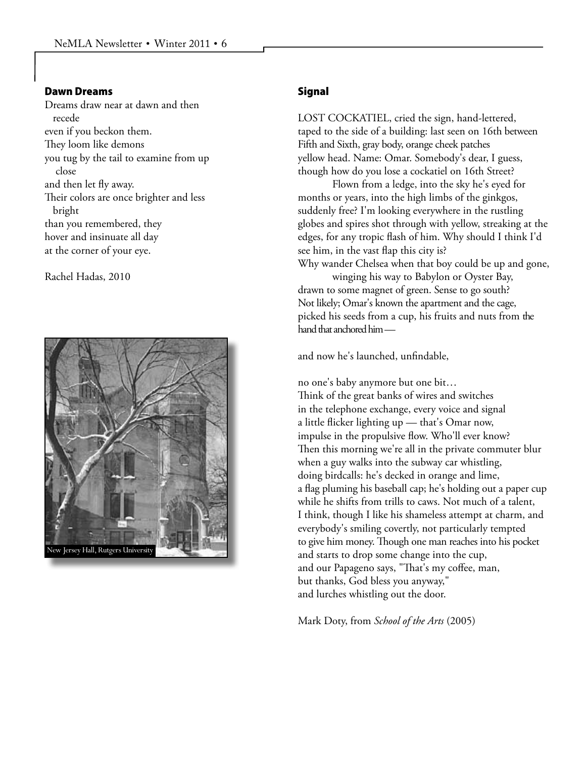#### Dawn Dreams

Dreams draw near at dawn and then recede even if you beckon them. They loom like demons you tug by the tail to examine from up close and then let fly away. Their colors are once brighter and less bright than you remembered, they hover and insinuate all day at the corner of your eye.

Rachel Hadas, 2010



#### **Signal**

LOST COCKATIEL, cried the sign, hand-lettered, taped to the side of a building: last seen on 16th between Fifth and Sixth, gray body, orange cheek patches yellow head. Name: Omar. Somebody's dear, I guess, though how do you lose a cockatiel on 16th Street?

Flown from a ledge, into the sky he's eyed for months or years, into the high limbs of the ginkgos, suddenly free? I'm looking everywhere in the rustling globes and spires shot through with yellow, streaking at the edges, for any tropic flash of him. Why should I think I'd see him, in the vast flap this city is?

Why wander Chelsea when that boy could be up and gone,

winging his way to Babylon or Oyster Bay, drawn to some magnet of green. Sense to go south? Not likely; Omar's known the apartment and the cage, picked his seeds from a cup, his fruits and nuts from the hand that anchored him —

and now he's launched, unfindable,

no one's baby anymore but one bit… Think of the great banks of wires and switches in the telephone exchange, every voice and signal a little flicker lighting up — that's Omar now, impulse in the propulsive flow. Who'll ever know? Then this morning we're all in the private commuter blur when a guy walks into the subway car whistling, doing birdcalls: he's decked in orange and lime, a flag pluming his baseball cap; he's holding out a paper cup while he shifts from trills to caws. Not much of a talent, I think, though I like his shameless attempt at charm, and everybody's smiling covertly, not particularly tempted to give him money. Though one man reaches into his pocket and starts to drop some change into the cup, and our Papageno says, "That's my coffee, man, but thanks, God bless you anyway," and lurches whistling out the door.

Mark Doty, from *School of the Arts* (2005)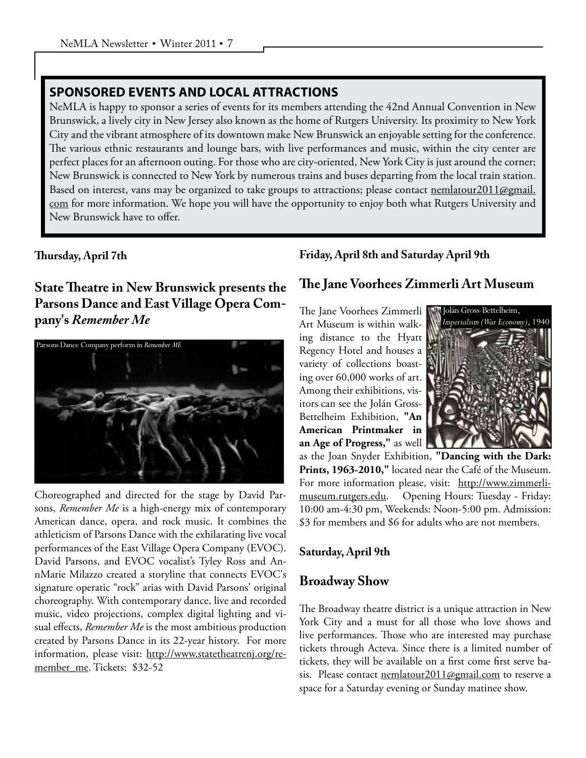#### **SPONSORED EVENTS AND LOCAL ATTRACTIONS**

NeMLA is happy to sponsor a series of events for its members attending the 42nd Annual Convention in New Brunswick, a lively city in New Jersey also known as the home of Rutgers University. Its proximity to New York City and the vibrant atmosphere of its downtown make New Brunswick an enjoyable setting for the conference. The various ethnic restaurants and lounge bars, with live performances and music, within the city center are perfect places for an afternoon outing. For those who are city-oriented, New York City is just around the corner; New Brunswick is connected to New York by numerous trains and buses departing from the local train station. Based on interest, vans may be organized to take groups to attractions; please contact nemlatour2011@gmail. com for more information. We hope you will have the opportunity to enjoy both what Rutgers University and New Brunswick have to offer.

#### **Thursday, April 7th**

# **State Theatre in New Brunswick presents the Parsons Dance and East Village Opera Company's** *Remember Me*



Choreographed and directed for the stage by David Parsons, *Remember Me* is a high-energy mix of contemporary American dance, opera, and rock music. It combines the athleticism of Parsons Dance with the exhilarating live vocal performances of the East Village Opera Company (EVOC). David Parsons, and EVOC vocalist's Tyley Ross and AnnMarie Milazzo created a storyline that connects EVOC's signature operatic "rock" arias with David Parsons' original choreography. With contemporary dance, live and recorded music, video projections, complex digital lighting and visual effects, *Remember Me* is the most ambitious production created by Parsons Dance in its 22-year history. For more information, please visit: http://www.statetheatrenj.org/remember me. Tickets: \$32-52

#### **Friday, April 8th and Saturday April 9th**

# **The Jane Voorhees Zimmerli Art Museum**

The Jane Voorhees Zimmerli Art Museum is within walking distance to the Hyatt Regency Hotel and houses a variety of collections boasting over 60,000 works of art. Among their exhibitions, visitors can see the Jolán Gross-Bettelheim Exhibition, **"An American Printmaker in an Age of Progress,"** as well



as the Joan Snyder Exhibition, **"Dancing with the Dark: Prints, 1963-2010,"** located near the Café of the Museum. For more information please, visit: http://www.zimmerlimuseum.rutgers.edu. Opening Hours: Tuesday - Friday: 10:00 am-4:30 pm, Weekends: Noon-5:00 pm. Admission: \$3 for members and \$6 for adults who are not members.

#### **Saturday, April 9th**

# **Broadway Show**

The Broadway theatre district is a unique attraction in New York City and a must for all those who love shows and live performances. Those who are interested may purchase tickets through Acteva. Since there is a limited number of tickets, they will be available on a first come first serve basis. Please contact nemlatour2011@gmail.com to reserve a space for a Saturday evening or Sunday matinee show.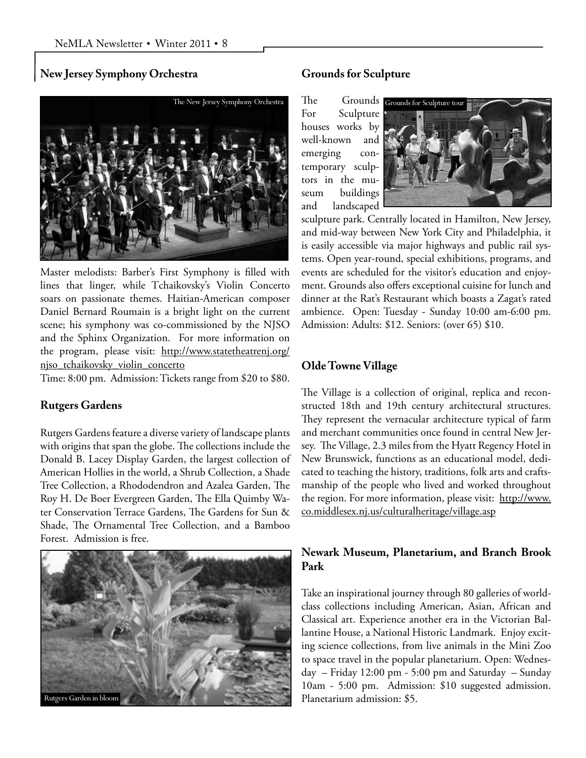#### **New Jersey Symphony Orchestra**



Master melodists: Barber's First Symphony is filled with lines that linger, while Tchaikovsky's Violin Concerto soars on passionate themes. Haitian-American composer Daniel Bernard Roumain is a bright light on the current scene; his symphony was co-commissioned by the NJSO and the Sphinx Organization. For more information on the program, please visit: http://www.statetheatrenj.org/ njso tchaikovsky violin concerto

Time: 8:00 pm. Admission: Tickets range from \$20 to \$80.

#### **Rutgers Gardens**

Rutgers Gardens feature a diverse variety of landscape plants with origins that span the globe. The collections include the Donald B. Lacey Display Garden, the largest collection of American Hollies in the world, a Shrub Collection, a Shade Tree Collection, a Rhododendron and Azalea Garden, The Roy H. De Boer Evergreen Garden, The Ella Quimby Water Conservation Terrace Gardens, The Gardens for Sun & Shade, The Ornamental Tree Collection, and a Bamboo Forest. Admission is free.



#### **Grounds for Sculpture**

For Sculpture houses works by well-known and emerging contemporary sculptors in the museum buildings and landscaped



sculpture park. Centrally located in Hamilton, New Jersey, and mid-way between New York City and Philadelphia, it is easily accessible via major highways and public rail systems. Open year-round, special exhibitions, programs, and events are scheduled for the visitor's education and enjoyment. Grounds also offers exceptional cuisine for lunch and dinner at the Rat's Restaurant which boasts a Zagat's rated ambience. Open: Tuesday - Sunday 10:00 am-6:00 pm. Admission: Adults: \$12. Seniors: (over 65) \$10.

#### **Olde Towne Village**

The Village is a collection of original, replica and reconstructed 18th and 19th century architectural structures. They represent the vernacular architecture typical of farm and merchant communities once found in central New Jersey. The Village, 2.3 miles from the Hyatt Regency Hotel in New Brunswick, functions as an educational model, dedicated to teaching the history, traditions, folk arts and craftsmanship of the people who lived and worked throughout the region. For more information, please visit: http://www. co.middlesex.nj.us/culturalheritage/village.asp

#### **Newark Museum, Planetarium, and Branch Brook Park**

Take an inspirational journey through 80 galleries of worldclass collections including American, Asian, African and Classical art. Experience another era in the Victorian Ballantine House, a National Historic Landmark. Enjoy exciting science collections, from live animals in the Mini Zoo to space travel in the popular planetarium. Open: Wednesday – Friday 12:00 pm - 5:00 pm and Saturday – Sunday 10am - 5:00 pm. Admission: \$10 suggested admission. Planetarium admission: \$5.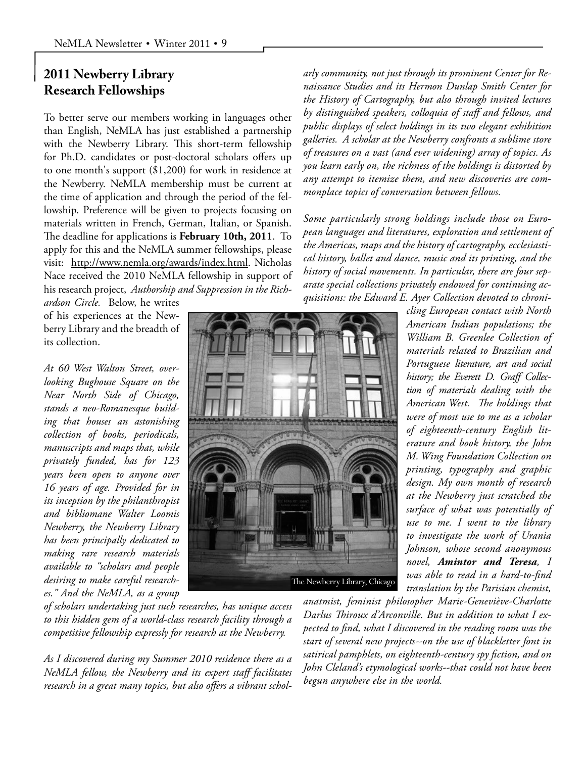# **2011 Newberry Library Research Fellowships**

To better serve our members working in languages other than English, NeMLA has just established a partnership with the Newberry Library. This short-term fellowship for Ph.D. candidates or post-doctoral scholars offers up to one month's support (\$1,200) for work in residence at the Newberry. NeMLA membership must be current at the time of application and through the period of the fellowship. Preference will be given to projects focusing on materials written in French, German, Italian, or Spanish. The deadline for applications is **February 10th, 2011**. To apply for this and the NeMLA summer fellowships, please visit: http://www.nemla.org/awards/index.html. Nicholas Nace received the 2010 NeMLA fellowship in support of his research project, *Authorship and Suppression in the Rich-*

*ardson Circle.* Below, he writes of his experiences at the Newberry Library and the breadth of its collection.

*At 60 West Walton Street, overlooking Bughouse Square on the Near North Side of Chicago, stands a neo-Romanesque building that houses an astonishing collection of books, periodicals, manuscripts and maps that, while privately funded, has for 123 years been open to anyone over 16 years of age. Provided for in its inception by the philanthropist and bibliomane Walter Loomis Newberry, the Newberry Library has been principally dedicated to making rare research materials available to "scholars and people desiring to make careful researches." And the NeMLA, as a group* 

*of scholars undertaking just such researches, has unique access to this hidden gem of a world-class research facility through a competitive fellowship expressly for research at the Newberry.*

*As I discovered during my Summer 2010 residence there as a NeMLA fellow, the Newberry and its expert staff facilitates research in a great many topics, but also offers a vibrant schol-* *arly community, not just through its prominent Center for Renaissance Studies and its Hermon Dunlap Smith Center for the History of Cartography, but also through invited lectures by distinguished speakers, colloquia of staff and fellows, and public displays of select holdings in its two elegant exhibition galleries. A scholar at the Newberry confronts a sublime store of treasures on a vast (and ever widening) array of topics. As you learn early on, the richness of the holdings is distorted by any attempt to itemize them, and new discoveries are commonplace topics of conversation between fellows.*

*Some particularly strong holdings include those on European languages and literatures, exploration and settlement of the Americas, maps and the history of cartography, ecclesiastical history, ballet and dance, music and its printing, and the history of social movements. In particular, there are four separate special collections privately endowed for continuing acquisitions: the Edward E. Ayer Collection devoted to chroni-*

> *cling European contact with North American Indian populations; the William B. Greenlee Collection of materials related to Brazilian and Portuguese literature, art and social history; the Everett D. Graff Collection of materials dealing with the American West. The holdings that were of most use to me as a scholar of eighteenth-century English literature and book history, the John M. Wing Foundation Collection on printing, typography and graphic design. My own month of research at the Newberry just scratched the surface of what was potentially of use to me. I went to the library to investigate the work of Urania Johnson, whose second anonymous novel, Amintor and Teresa, I was able to read in a hard-to-find translation by the Parisian chemist,*

*anatmist, feminist philosopher Marie-Geneviève-Charlotte Darlus Thiroux d'Arconville. But in addition to what I expected to find, what I discovered in the reading room was the start of several new projects--on the use of blackletter font in satirical pamphlets, on eighteenth-century spy fiction, and on John Cleland's etymological works--that could not have been begun anywhere else in the world.*

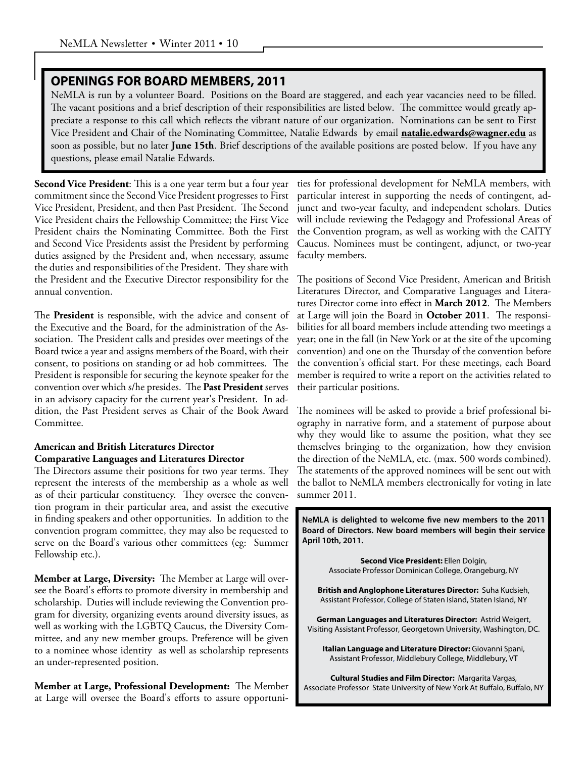#### **OPENINGS FOR BOARD MEMBERS, 2011**

NeMLA is run by a volunteer Board. Positions on the Board are staggered, and each year vacancies need to be filled. The vacant positions and a brief description of their responsibilities are listed below. The committee would greatly appreciate a response to this call which reflects the vibrant nature of our organization. Nominations can be sent to First Vice President and Chair of the Nominating Committee, Natalie Edwards by email **natalie.edwards@wagner.edu** as soon as possible, but no later **June 15th**. Brief descriptions of the available positions are posted below. If you have any questions, please email Natalie Edwards.

**Second Vice President**: This is a one year term but a four year commitment since the Second Vice President progresses to First Vice President, President, and then Past President. The Second Vice President chairs the Fellowship Committee; the First Vice President chairs the Nominating Committee. Both the First and Second Vice Presidents assist the President by performing duties assigned by the President and, when necessary, assume the duties and responsibilities of the President. They share with the President and the Executive Director responsibility for the annual convention.

The **President** is responsible, with the advice and consent of the Executive and the Board, for the administration of the Association. The President calls and presides over meetings of the Board twice a year and assigns members of the Board, with their consent, to positions on standing or ad hob committees. The President is responsible for securing the keynote speaker for the convention over which s/he presides. The **Past President** serves in an advisory capacity for the current year's President. In addition, the Past President serves as Chair of the Book Award Committee.

#### **American and British Literatures Director Comparative Languages and Literatures Director**

The Directors assume their positions for two year terms. They represent the interests of the membership as a whole as well as of their particular constituency. They oversee the convention program in their particular area, and assist the executive in finding speakers and other opportunities. In addition to the convention program committee, they may also be requested to serve on the Board's various other committees (eg: Summer Fellowship etc.).

**Member at Large, Diversity:** The Member at Large will oversee the Board's efforts to promote diversity in membership and scholarship. Duties will include reviewing the Convention program for diversity, organizing events around diversity issues, as well as working with the LGBTQ Caucus, the Diversity Committee, and any new member groups. Preference will be given to a nominee whose identity as well as scholarship represents an under-represented position.

**Member at Large, Professional Development:** The Member at Large will oversee the Board's efforts to assure opportuni-

ties for professional development for NeMLA members, with particular interest in supporting the needs of contingent, adjunct and two-year faculty, and independent scholars. Duties will include reviewing the Pedagogy and Professional Areas of the Convention program, as well as working with the CAITY Caucus. Nominees must be contingent, adjunct, or two-year faculty members.

The positions of Second Vice President, American and British Literatures Director, and Comparative Languages and Literatures Director come into effect in **March 2012**. The Members at Large will join the Board in **October 2011**. The responsibilities for all board members include attending two meetings a year; one in the fall (in New York or at the site of the upcoming convention) and one on the Thursday of the convention before the convention's official start. For these meetings, each Board member is required to write a report on the activities related to their particular positions.

The nominees will be asked to provide a brief professional biography in narrative form, and a statement of purpose about why they would like to assume the position, what they see themselves bringing to the organization, how they envision the direction of the NeMLA, etc. (max. 500 words combined). The statements of the approved nominees will be sent out with the ballot to NeMLA members electronically for voting in late summer 2011.

**NeMLA is delighted to welcome five new members to the 2011 Board of Directors. New board members will begin their service April 10th, 2011.**

> **Second Vice President:** Ellen Dolgin, Associate Professor Dominican College, Orangeburg, NY

**British and Anglophone Literatures Director:** Suha Kudsieh, Assistant Professor, College of Staten Island, Staten Island, NY

**German Languages and Literatures Director:** Astrid Weigert, Visiting Assistant Professor, Georgetown University, Washington, DC.

**Italian Language and Literature Director:** Giovanni Spani, Assistant Professor, Middlebury College, Middlebury, VT

**Cultural Studies and Film Director:** Margarita Vargas, Associate Professor State University of New York At Buffalo, Buffalo, NY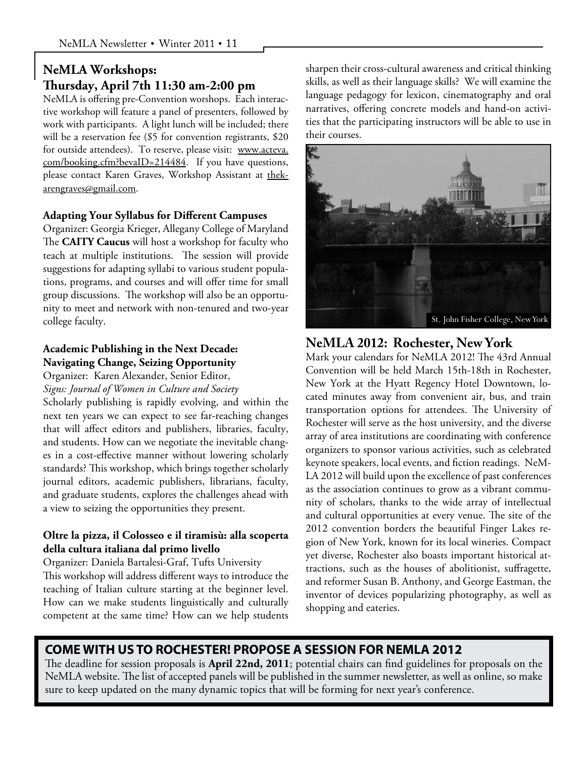# **NeMLA Workshops: Thursday, April 7th 11:30 am-2:00 pm**

NeMLA is offering pre-Convention worshops. Each interactive workshop will feature a panel of presenters, followed by work with participants. A light lunch will be included; there will be a reservation fee (\$5 for convention registrants, \$20 for outside attendees). To reserve, please visit: www.acteva. com/booking.cfm?bevaID=214484. If you have questions, please contact Karen Graves, Workshop Assistant at thekarengraves@gmail.com.

#### **Adapting Your Syllabus for Different Campuses**

Organizer: Georgia Krieger, Allegany College of Maryland The **CAITY Caucus** will host a workshop for faculty who teach at multiple institutions. The session will provide suggestions for adapting syllabi to various student populations, programs, and courses and will offer time for small group discussions. The workshop will also be an opportunity to meet and network with non-tenured and two-year college faculty.

# **Academic Publishing in the Next Decade: Navigating Change, Seizing Opportunity**

Organizer: Karen Alexander, Senior Editor, *Signs: Journal of Women in Culture and Society*

Scholarly publishing is rapidly evolving, and within the next ten years we can expect to see far-reaching changes that will affect editors and publishers, libraries, faculty, and students. How can we negotiate the inevitable changes in a cost-effective manner without lowering scholarly standards? This workshop, which brings together scholarly journal editors, academic publishers, librarians, faculty, and graduate students, explores the challenges ahead with a view to seizing the opportunities they present.

#### **Oltre la pizza, il Colosseo e il tiramisù: alla scoperta della cultura italiana dal primo livello**

Organizer: Daniela Bartalesi-Graf, Tufts University This workshop will address different ways to introduce the teaching of Italian culture starting at the beginner level. How can we make students linguistically and culturally competent at the same time? How can we help students sharpen their cross-cultural awareness and critical thinking skills, as well as their language skills? We will examine the language pedagogy for lexicon, cinematography and oral narratives, offering concrete models and hand-on activities that the participating instructors will be able to use in their courses.



# **NeMLA 2012: Rochester, New York**

Mark your calendars for NeMLA 2012! The 43rd Annual Convention will be held March 15th-18th in Rochester, New York at the Hyatt Regency Hotel Downtown, located minutes away from convenient air, bus, and train transportation options for attendees. The University of Rochester will serve as the host university, and the diverse array of area institutions are coordinating with conference organizers to sponsor various activities, such as celebrated keynote speakers, local events, and fiction readings. NeM-LA 2012 will build upon the excellence of past conferences as the association continues to grow as a vibrant community of scholars, thanks to the wide array of intellectual and cultural opportunities at every venue. The site of the 2012 convention borders the beautiful Finger Lakes region of New York, known for its local wineries. Compact yet diverse, Rochester also boasts important historical attractions, such as the houses of abolitionist, suffragette, and reformer Susan B. Anthony, and George Eastman, the inventor of devices popularizing photography, as well as shopping and eateries.

## **COME WITH US TO ROCHESTER! PROPOSE A SESSION FOR NEMLA 2012**

The deadline for session proposals is **April 22nd, 2011**; potential chairs can find guidelines for proposals on the NeMLA website. The list of accepted panels will be published in the summer newsletter, as well as online, so make sure to keep updated on the many dynamic topics that will be forming for next year's conference.